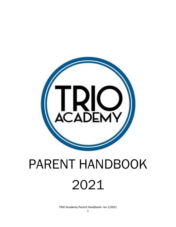

# PARENT HANDBOOK 2021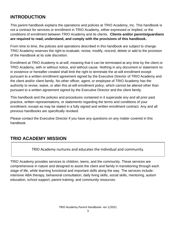# **INTRODUCTION**

This parent handbook explains the operations and policies at TRIO Academy, Inc. This handbook is not a contract for services or enrollment in TRIO Academy, either expressed or implied, or the conditions of enrollment between TRIO Academy and its clients. **Clients and/or parents/guardians are required to read, understand, and comply with the provisions of this handbook.**

From time to time, the policies and operations described in this handbook are subject to change. TRIO Academy reserves the right to evaluate, revise, modify, rescind, delete or add to the provision of the Handbook at its sole discretion.

Enrollment at TRIO Academy is *at-will*, meaning that it can be terminated at any time by the client or TRIO Academy, with or without notice, and without cause. Nothing in any document or statement no in existence or hereafter created shall limit the right to terminate the at-will enrollment except pursuant to a written enrollment agreement signed by the Executive Director of TRIO Academy and the client and/or client family. No other officer, agent, or employee of TRIO Academy has the authority to revise, waive, or alter this at-will enrollment policy, which cannot be altered other than pursuant to a written agreement signed by the Executive Director and the client family.

This handbook and the policies and procedures contained in it supersede any and all prior past practice, written representations, or statements regarding the terms and conditions of your enrollment, except as may be stated in a fully signed and written enrollment contract. Any and all previous handbooks are specifically revoked.

Please contact the Executive Director if you have any questions on any matter covered in this handbook.

# **TRIO ACADEMY MISSION**

TRIO Academy nurtures and educates the individual and community.

TRIO Academy provides services to children, teens, and the community. These services are comprehensive in nature and designed to assist the client and family in transitioning through each stage of life, while learning functional and important skills along the way. The services include: intensive ABA therapy, behavioral consultation, daily living skills, social skills, mentoring, autism education, school support, parent training, and community resources.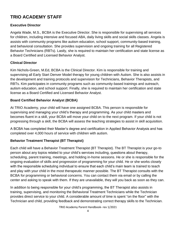# **TRIO ACADEMY STAFF**

# **Executive Director**

Angela Wade, M.S., BCBA is the Executive Director. She is responsible for supervising all services for children, including intensive and focused ABA, daily living skills and social skills classes. Angela is assists with community programs like autism education, school support, community-based training, and behavioral consultation. She provides supervision and ongoing training for all Registered Behavior Technicians (RBTs). Lastly, she is required to maintain her certification and state license as a Board Certified and Licensed Behavior Analyst.

# **Clinical Director**

Kim Nichols-Green, M.Ed, BCBA is the Clinical Director. Kim is responsible for training and supervising all Early Start Denver Model therapy for young children with Autism. She is also assists in the development and training protocols and supervision for Technicians, Behavior Therapists, and RBTs. Kim participates in community programs such as community-based trainings and outreach, autism education, and school support. Finally, she is required to maintain her certification and state license as a Board Certified and Licensed Behavior Analyst.

# **Board Certified Behavior Analyst (BCBA)**

At TRIO Academy, your child will have one assigned BCBA. This person is responsible for supervising and managing your child's therapy and programming. As your child masters and becomes fluent in a skill, your BCBA will move your child on to the next program. If your child is not progressing through a skill, the BCBA will assess the teaching strategies to assist in skill acquisition.

A BCBA has completed their Master's degree and certification in Applied Behavior Analysis and has completed over 4,000 hours of service with children with autism.

# **Behavior Treatment Therapist (BT Therapist)**

Each child will have a Behavior Treatment Therapist (BT Therapist). The BT Therapist is your go-to person about any topics related to your child's services including, questions about therapy, scheduling, parent training, meetings, and holding in-home sessions. He or she is responsible for the ongoing evaluation of skills and progression of programming for your child. He or she works closely with the responsible scheduling individual to ensure that each child's main team is trained to teach and play with your child in the most therapeutic manner possible. The BT Therapist consults with the BCBA for programming or behavioral concerns. You can contact them via email or by calling the center and asking to speak with them. If they are unavailable, they will you back as soon as they can.

In addition to being responsible for your child's programming, the BT Therapist also assists in training, supervising, and monitoring the Behavioral Treatment Technicians while the Technician provides direct service to your child. A considerable amount of time is spent "on the floor" with the Technician and child, providing feedback and demonstrating correct therapy skills to the Technician.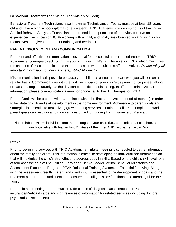# **Behavioral Treatment Technician (Technician or Tech)**

Behavioral Treatment Technicians, also known as Technicians or Techs, must be at least 18-years old and have a high school diploma (or equivalent). TRIO Academy provides 40 hours of training in Applied Behavior Analysis. Technicians are trained in the principles of behavior, observe an experienced Technician or BCBA working with a child, and finally are observed working with a child themselves and given on-the-spot training and feedback.

# **PARENT INVOLVEMENT AND COMMUNICATION**

Frequent and effective communication is essential for successful center-based treatment. TRIO Academy encourages direct communication with your child's BT Therapist or BCBA which minimizes the chances of miscommunications that are possible when multiple staff are involved. *Please relay all important information to your BT Therapist/BCBA directly.* 

Miscommunication is still possible because your child has a treatment team who you will see on a regular basis. Communications with the first Technician of your child's day may not be passed along or passed along accurately, as the day can be hectic and distracting. In efforts to minimize lost information, please communicate via email or phone call to the BT Therapist or BCBA.

Parent Goals will be created with parent input within the first authorization period (6 months) in order to facilitate growth and skill development in the home environment. Adherence to parent goals and strategies is essential to maximizing growth during services. Continued failure to complete or work on parent goals can result in a hold on services or lack of funding from insurance or Medicaid.

Please label EVERY individual item that belongs to your child (i.e., each mitten, sock, shoe, spoon, lunchbox, etc) with his/her first 2 initials of their first AND last name (i.e., AnWa)

#### **Intake**

Prior to beginning services with TRIO Academy, an intake meeting is scheduled to gather information about the family and client. This information is crucial to developing an individualized treatment plan that will maximize the child's strengths and address gaps in skills. Based on the child's skill level, one of four assessments will be utilized: Early Start Denver Model, Verbal Behavior Milestones and Assessment Placement Program, PEAK Relational Training System, or Essential for Living. Along with the assessment results, parent and client input is essential to the development of goals and the treatment plan. Parents and client input ensures that all goals are functional and meaningful for the family.

For the intake meeting, parent must provide copies of diagnostic assessments, IEPs, insurance/Medicaid cards and sign releases of information for related services (including doctors, psychiatrists, school, etc).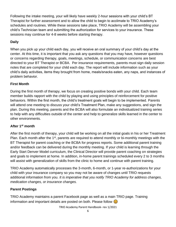Following the intake meeting, your will likely have weekly 2-hour sessions with your child's BT Therapist for further assessment and to allow the child to begin to acclimate to TRIO Academy's schedules and routines. While these sessions take place, TRIO Academy will be assembling your child's Technician team and submitting the authorization for services to your insurance. These sessions may continue for 4-8 weeks before starting therapy.

# **Daily**

When you pick up your child each day, you will receive an oral summary of your child's day at the center. At this time, it is important that you ask any questions that you may have, however questions or concerns regarding therapy, goals, meetings, schedule, or communication concerns are best directed to your BT Therapist or BCBA. Per insurance requirements, parents must sign daily session notes that are completed for your child each day. The report will include information such as your child's daily activities, items they brought from home, meals/snacks eaten, any naps, and instances of problem behavior.

# **First Month**

During the first month of therapy, we focus on creating positive bonds with your child. Each team member builds rapport with the child by playing and using principles of reinforcement for positive behaviors. Within the first month, the child's treatment goals will begin to be implemented. Parents will attend one meeting to discuss your child's Treatment Plan, make any suggestions, and sign the plan. During this meeting, parents and the BCBA will also formulate an individualized training series to help with any difficulties outside of the center and help to generalize skills learned in the center to other environments.

#### **After 1st month**

After the first month of therapy, your child will be working on all the initial goals in his or her Treatment Plan. Each month after the 1<sup>st</sup>, parents are required to attend monthly or bi-monthly meetings with the BT Therapist for parent coaching or the BCBA for progress reports. Some additional parent training and/or feedback can be delivered during the monthly meeting. If your child is learning through the Early Start Denver Model curriculum, the Clinical Director will provide parent coaching on strategies and goals to implement at home. In addition, in-home parent trainings scheduled every 2 to 3 months will assist with generalization of skills from the clinic to home and continue with parent training.

TRIO Academy automatically processes the 3-month, 6-month, or 1-year re-authorizations for your child with your insurance company so you may not be aware of changes until TRIO requests additional information from you. *It is imperative that you notify TRIO Academy for address changes, medication changes, or insurance changes.*

#### **Parent Postings**

TRIO Academy maintains a parent Facebook page as well as a main TRIO page. Training information and important details are posted on both. Please follow  $\odot$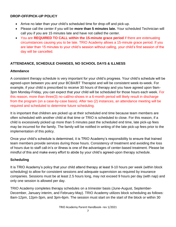#### **DROP-OFF/PICK-UP POLICY**

- Arrive no later than your child's scheduled time for drop-off and pick-up.
- Please call the center if you will be **more than 5 minutes late.** Your scheduled Technician will call you if you are 15 minutes late and have not called the center.
- You are **REQUIRED TO CALL within the 15-minute grace period** if there are extenuating circumstances causing you to be late. TRIO Academy allows a 15-minute grace period. If you are later than 15 minutes to your child's session without calling, your child's first session of the day will be cancelled.

# **ATTENDANCE, SCHEDULE CHANGES, NO SCHOOL DAYS & ILLNESS**

#### **Attendance**

A consistent therapy schedule is very important for your child's progress. Your child's schedule will be agreed-upon between you and your BCBA/BT Therapist and will be consistent week-to-week. For example, if your child is prescribed to receive 30 hours of therapy and you have agreed upon 9am-3pm Monday-Friday, you can expect that your child will be scheduled for those hours each week. For this reason, more than three(3) no-call/no-shows in a 6-month period will likely result in discharge from the program (on a case-by-case basis). After two (2) instances, an attendance meeting will be required and scheduled to determine future scheduling.

It is important that children are picked up at their scheduled end time because team members are often scheduled with another child at that time or TRIO is scheduled to close. For this reason, if a child is excessively picked up more than 5 minutes past the scheduled end time, late pick-up fees may be incurred for the family. The family will be notified in writing of the late pick-up fees prior to the implementation of this policy.

Once your child's schedule is determined, it is TRIO Academy's responsibility to ensure that trained team members provide services during those hours. Consistency of treatment and avoiding the loss of hours due to staff call-in's or illness is one of the advantages of center-based treatment. Please be mindful of this and make every effort to abide by your child's agreed-upon therapy schedule.

#### **Scheduling**

It is TRIO Academy's policy that your child attend therapy at least 9-10 hours per week (within block scheduling) to allow for consistent sessions and adequate supervision as required by insurance companies. Sessions must be at least 2.5 hours long, may not exceed 9 hours per day (with nap) and only one session is allowed per day.

TRIO Academy completes therapy schedules on a trimester basis (June-August, September-December, January interim, and February-May). TRIO Academy utilizes block scheduling as follows: 8am-12pm, 12pm-3pm, and 3pm-6pm. The session must start on the start of the block or within 30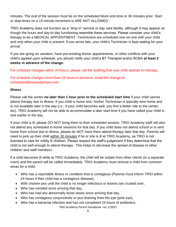minutes. The end of the session must be on the scheduled block end-time or 30 minutes prior. Start or stop-times on a 15-minute increment is ARE NOT ALLOWED.

TRIO Academy does not function as a "drop in" service or day care facility, although it may appear as though the hours and day-to-day functioning resemble these services. Please consider your child's therapy to be a MEDICAL APPOINTMENT. Technicians are scheduled one-on-one with your child and only when your child is present. If you arrive late, your child's Technician is kept waiting for your arrival.

If you are going on vacation, have pre-existing doctor appointments, or other conflicts with your child's agreed upon schedule, you should notify your child's BT Therapist and/or BCBA **at least 2 weeks in advance of the change.**

For schedule changes within 24 hours, please call the building that your child attends for therapy.

For schedule changes more than 24 hours in advance, email the change to schedules@trioacademywi.com.

#### **Illness**

Please call the center **no later than 1 hour prior to the scheduled start time** if your child cannot attend therapy due to illness. If you child is home sick, his/her Technician is typically sent home and is not available later in the day (i.e., if your child becomes well, you find a better ride to the center, etc). TRIO Academy will not be able to accommodate a later start time if you have called your child in sick earlier in the day.

If your child is ill, please DO NOT bring them to their scheduled session. TRIO Academy staff will also not attend any scheduled in-home sessions for that day. If you child does not attend school or is sent home from school due to illness, please do NOT have them attend therapy later that day. Parents will need to pick up their child within 30 minutes if he or she is ill at TRIO Academy, as TRIO is not licensed to care for mildly ill children. Please respect the staff's judgement if they determine that the child is not well enough to attend therapy. This helps to decrease the spread of disease to other children and staff members.

If a child becomes ill while at TRIO Academy, the child will be isolate from other clients (in a separate room) and the parent will be called immediately. TRIO Academy must remove a child from common areas for a child:

- Who has a reportable illness or condition that is contagious (Parents must inform TRIO within 24 hours if their child has a contagious disease),
- With chicken pox until the child is no longer infectious or lesions are crusted over,
- Who has vomited since arriving that day,
- Who has had any abnormally loose stools since arriving that day,
- Who has contagious conjunctivitis or pus draining from the eye (pink eye),
- Who has a bacterial infection and has not completed 24 hours of antibiotics,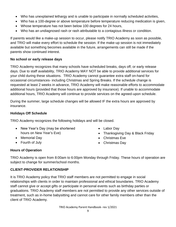- Who has unexplained lethargy and is unable to participate in normally scheduled activities,
- Who has a 100-degree or above temperature before temperature reducing medication is given,
- Whose temperature has not been below 100 degrees for 24 hours,
- Who has an undiagnosed rash or rash attributable to a contagious illness or condition.

If parents would like a make-up session to occur, please notify TRIO Academy as soon as possible, and TRIO will make every effort to schedule the session. If the make-up session is not immediately available but something becomes available in the future, arrangements can still be made if the parents show continued interest.

#### **No school or early release days**

TRIO Academy recognizes that many schools have scheduled breaks, days off, or early release days. Due to staff availability, TRIO Academy MAY NOT be able to provide additional services for your child during these situations. TRIO Academy cannot guarantee extra staff on-hand for occasional circumstances- including Christmas and Spring Breaks. If the schedule change is requested at least 2 weeks in advance, TRIO Academy will make reasonable efforts to accommodate additional hours (provided that those hours are approved by insurance). If unable to accommodate additional hours, TRIO Academy will continue to provide services on the agreed-upon schedule.

During the summer, large schedule changes will be allowed IF the extra hours are approved by insurance.

#### **Holidays Off Schedule**

TRIO Academy recognizes the following holidays and will be closed.

- New Year's Day (may be shortened hours on New Year's Eve)
- Memorial Day
- Fourth of July
- Labor Day
- Thanksgiving Day & Black Friday
- Christmas Eve
- Christmas Day

#### **Hours of Operation**

TRIO Academy is open from 8:00am to 6:00pm Monday through Friday. These hours of operation are subject to change for summer/school months.

#### **CLIENT-PROVIDER RELATIONSHIP**

It is TRIO Academy policy that TRIO staff members are not permitted to engage in social relationships with clients in order to maintain professional and ethical boundaries. TRIO Academy staff cannot give or accept gifts or participate in personal events such as birthday parties or graduations. TRIO Academy staff members are not permitted to provide any other services outside of treatment, such as in-home babysitting and cannot care for other family members other than the client of TRIO Academy.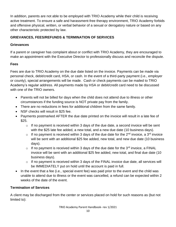In addition, parents are not able to be employed with TRIO Academy while their child is receiving active treatment. To ensure a safe and harassment-free therapy environment, TRIO Academy forbids and offensive physical, written, or verbal behavior of a sexual or derogatory nature or based on any other characteristic protected by law.

# **GRIEVANCES, FEES/REFUNDS & TERMINATION OF SERVICES**

#### **Grievances**

If a parent or caregiver has complaint about or conflict with TRIO Academy, they are encouraged to make an appointment with the Executive Director to professionally discuss and reconcile the dispute.

# **Fees**

Fees are due to TRIO Academy on the due date listed on the invoice. Payments can be made via personal check, debit/credit card, HSA, or cash. In the event of a third-party payment (i.e., employer or county), special arrangements will be made. Cash or check payments can be mailed to TRIO Academy's regular address. All payments made by HSA or debit/credit card need to be discussed with one of the TRIO owners.

- Parents will not be billed for days when the child does not attend due to illness or other circumstances if the funding source is NOT private pay from the family.
- There are no reductions in fees for additional children from the same family.
- NSF checks will result in \$25 fee.
- Payments postmarked AFTER the due date printed on the invoice will result in a late fee of \$25.
	- $\circ$  If no payment is received within 3 days of the due date, a second invoice will be sent with the \$25 late fee added, a new total, and a new due date (10 business days).
	- $\circ$  If no payment is received within 3 days of the due date for the 2<sup>nd</sup> invoice, a 3<sup>rd</sup> invoice will be sent with an additional \$25 fee added, new total, and new due date (10 business days).
	- $\circ$  If no payment is received within 3 days of the due date for the 3<sup>rd</sup> invoice. a FINAL invoice will be sent with an additional \$25 fee added, new total, and final due date (10 business days).
	- $\circ$  If no payment is received within 3 days of the FINAL invoice due date, all services will be IMMEDIATELY put on hold until the account is paid in full.
- In the event that a fee (i.e., special event fee) was paid prior to the event and the child was unable to attend due to illness or the event was cancelled, a refund can be expected within 2 weeks of the date of the event.

#### **Termination of Services**

A client may be discharged from the center or services placed on hold for such reasons as (but not limited to):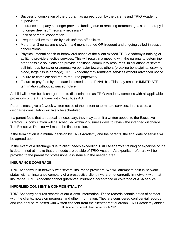- Successful completion of the program as agreed upon by the parents and TRIO Academy supervisors.
- Insurance company no longer provides funding due to reaching treatment goals and therapy is no longer deemed "medically necessary"
- Lack of parental cooperation
- Frequent failure to abide by pick-up/drop-off policies.
- More than 3 no-call/no-show's in a 6 month period OR frequent and ongoing called-in session cancellations.
- Physical, mental health or behavioral needs of the client exceed TRIO Academy's training or ability to provide effective services. This will result in a meeting with the parents to determine other possible solutions and provide additional community resources. In situations of severe self-injurious behavior or aggressive behavior towards others (breaking bones/joints, drawing blood, large tissue damage), TRIO Academy may terminate services without advanced notice.
- Failure to complete and return required paperwork.
- Failure to pay fees by due date indicated on the FINAL bill. This may result in IMMEDIATE termination without advanced notice.

A child will never be discharged due to discrimination as TRIO Academy complies with all applicable provisions of the Americans with Disabilities Act.

Parents must give a 2-week written notice of their intent to terminate services. In this case, a discharge consultation will likely be scheduled.

If a parent feels that an appeal is necessary, they may submit a written appeal to the Executive Director. A consultation will be scheduled within 2 business days to review the intended discharge. The Executive Director will make the final decision.

If the termination is a mutual decision by TRIO Academy and the parents, the final date of service will be agreed upon.

In the event of a discharge due to client needs exceeding TRIO Academy's training or expertise or if it is determined at intake that the needs are outside of TRIO Academy's expertise, referrals will be provided to the parent for professional assistance in the needed area.

#### **INSURANCE COVERAGE**

TRIO Academy is in-network with several insurance providers. We will attempt to gain in-network status with an insurance company of a prospective client if we are not currently in-network with that insurance. TRIO Academy cannot guarantee insurance acceptance or coverage of ABA service.

#### **INFORMED CONSENT & CONFIDENTIALITY**

TRIO Academy Parent Handbook- rev 1/2021 TRIO Academy secures records of our clients' information. These records contain dates of contact with the clients, notes on progress, and other information. They are considered confidential records and can only be released with written consent from the client/parent/guardian. TRIO Academy abides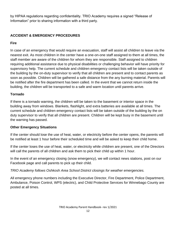by HIPAA regulations regarding confidentiality. TRIO Academy requires a signed "Release of Information" prior to sharing information with a third party.

## **ACCIDENT & EMERGENCY PROCEDURES**

#### **Fire**

In case of an emergency that would require an evacuation, staff will assist all children to leave via the nearest exit. As most children in the center have a one-on-one staff assigned to them at all times, the staff member are aware of the children for whom they are responsible. Staff assigned to children requiring additional assistance due to physical disabilities or challenging behavior will have priority for supervisory help. The current schedule and children emergency contact lists will be taken outside of the building by the on-duty supervisor to verify that all children are present and to contact parents as soon as possible. Children will be gathered a safe distance from the any burning material. Parents will be notified after the fire department has been called. In the event that we cannot return inside the building, the children will be transported to a safe and warm location until parents arrive.

# **Tornado**

If there is a tornado warning, the children will be taken to the basement or interior space in the building away from windows. Blankets, flashlight, and extra batteries are available at all times. The current schedule and children emergency contact lists will be taken outside of the building by the on duty supervisor to verify that all children are present. Children will be kept busy in the basement until the warning has passed.

#### **Other Emergency Situations**

If the center should lose the use of heat, water, or electricity before the center opens, the parents will be notified at least 1 hour before their scheduled time and will be asked to keep their child home.

If the center loses the use of heat, water, or electricity while children are present, one of the Directors will call the parents of all children and ask them to pick their child up within 1 hour.

In the event of an emergency closing (snow emergency), we will contact news stations, post on our Facebook page and call parents to pick up their child.

*TRIO Academy follows Oshkosh Area School District closings for weather emergencies.*

All emergency phone numbers including the Executive Director, Fire Department, Police Department, Ambulance, Poison Control, WPS (electric), and Child Protective Services for Winnebago County are posted at all times.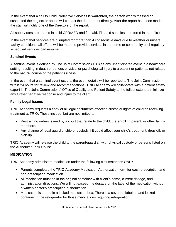In the event that a call to Child Protective Services is warranted, the person who witnessed or suspected the neglect or abuse will contact the department directly. After the report has been made, the staff will notify one of the Directors of the report.

All supervisors are trained in child CPR/AED and first aid. First aid supplies are stored in the office.

In the event that services are disrupted for more than 4 consecutive days due to weather or unsafe facility conditions, all efforts will be made to provide services in the home or community until regularly scheduled services can resume.

# **Sentinel Events**

A sentinel event is defined by The Joint Commission (TJC) as any unanticipated event in a healthcare setting resulting in death or serious physical or psychological injury to a patient or patients, not related to the natural course of the patient's illness.

In the event that a sentinel event occurs, the event details will be reported to The Joint Commission within 24 hours for review and recommendations. TRIO Academy will collaborate with a patient safety expert in The Joint Commissions' Office of Quality and Patient Safety to the fullest extent to minimize any further negative response and injury to the client.

# **Family Legal Issues**

TRIO Academy requests a copy of all legal documents affecting custodial rights of children receiving treatment at TRIO. These include, but are not limited to:

- Restraining orders issued by a court that relate to the child, the enrolling parent, or other family members.
- Any change of legal guardianship or custody if it could affect your child's treatment, drop-off, or pick-up.

TRIO Academy will release the child to the parent/guardian with physical custody or persons listed on the Authorized Pick-Up list.

# **MEDICATION**

TRIO Academy administers medication under the following circumstances ONLY:

- Parents completed the TRIO Academy Medication Authorization form for each prescription and non-prescription medication
- All medication must be in the original container with client's name, current dosage, and administration directions. We will not exceed the dosage on the label of the medication without a written doctor's prescription/authorization.
- Medication is stored in a locked medication box. There is a covered, labeled, and locked container in the refrigerator for those medications requiring refrigeration.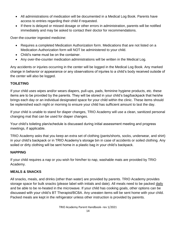- All administrations of medication will be documented in a Medical Log Book. Parents have access to entries regarding their child if requested.
- If there is delayed or missed dosage or other errors in administration, parents will be notified immediately and may be asked to contact their doctor for recommendations.

Over-the-counter ingested medicine:

- Requires a completed Medication Authorization form. Medications that are not listed on a Medication Authorization form will NOT be administered to your child.
- Child's name must be on the container.
- Any over-the-counter medication administrations will be written in the Medical Log.

Any accidents or injuries occurring in the center will be logged in the Medical Log Book. Any marked change in behavior or appearance or any observations of injuries to a child's body received outside of the center will also be logged.

# **TOILETING**

If your child uses wipes and/or wears diapers, pull-ups, pads, feminine hygiene products, etc. these items are to be provided by the parents. They will be stored in your child's bag/backpack that he/she brings each day or an individual designated space for your child within the clinic. These items should be replenished each night or morning to ensure your child has sufficient amount to last the day.

If your child is unable to stand for diaper changes, TRIO Academy will use a clean, sanitized personal changing mat that can be used for diaper changes.

Your child's toileting plan/schedule is discussed during initial assessment meeting and progress meetings, if applicable.

TRIO Academy asks that you keep an extra set of clothing (pants/shorts, socks, underwear, and shirt) in your child's backpack or in TRIO Academy's storage bin in case of accidents or soiled clothing. Any soiled or dirty clothing will be sent home in a plastic bag in your child's backpack.

#### **NAPPING**

If your child requires a nap or you wish for him/her to nap, washable mats are provided by TRIO Academy.

#### **MEALS & SNACKS**

All snacks, meals, and drinks (other than water) are provided by parents. TRIO Academy provides storage space for bulk snacks (please label with initials and date). All meals need to be packed daily and be able to be re-heated in the microwave. If your child has cooking goals, other options can be discussed with your child's BT Therapist/BCBA. Any uneaten items will be sent home with your child. Packed meals are kept in the refrigerator unless other instruction is provided by parents.